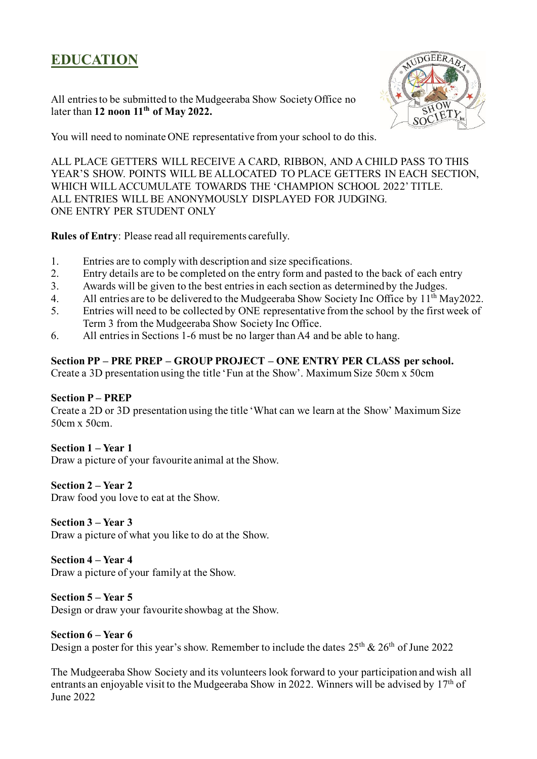# **EDUCATION**

All entries to be submitted to the Mudgeeraba Show Society Office no later than **12 noon 11th of May 2022.**



You will need to nominate ONE representative from your school to do this.

ALL PLACE GETTERS WILL RECEIVE A CARD, RIBBON, AND A CHILD PASS TO THIS YEAR'S SHOW. POINTS WILL BE ALLOCATED TO PLACE GETTERS IN EACH SECTION, WHICH WILL ACCUMULATE TOWARDS THE 'CHAMPION SCHOOL 2022' TITLE. ALL ENTRIES WILL BE ANONYMOUSLY DISPLAYED FOR JUDGING. ONE ENTRY PER STUDENT ONLY

**Rules of Entry**: Please read all requirements carefully.

- 1. Entries are to comply with description and size specifications.
- 2. Entry details are to be completed on the entry form and pasted to the back of each entry
- 3. Awards will be given to the best entries in each section as determined by the Judges.
- 4. All entries are to be delivered to the Mudgeeraba Show Society Inc Office by  $11<sup>th</sup>$  May2022.
- 5. Entries will need to be collected by ONE representative from the school by the first week of Term 3 from the Mudgeeraba Show Society Inc Office.
- 6. All entries in Sections 1-6 must be no larger than A4 and be able to hang.

### **Section PP – PRE PREP – GROUP PROJECT – ONE ENTRY PER CLASS per school.**

Create a 3D presentation using the title 'Fun at the Show'. Maximum Size 50cm x 50cm

### **Section P – PREP**

Create a 2D or 3D presentation using the title 'What can we learn at the Show' Maximum Size 50cm x 50cm.

### **Section 1 – Year 1**

Draw a picture of your favourite animal at the Show.

### **Section 2 – Year 2**

Draw food you love to eat at the Show.

### **Section 3 – Year 3**

Draw a picture of what you like to do at the Show.

### **Section 4 – Year 4**

Draw a picture of your family at the Show.

### **Section 5 – Year 5**

Design or draw your favourite showbag at the Show.

#### **Section 6 – Year 6**

Design a poster for this year's show. Remember to include the dates  $25<sup>th</sup>$  &  $26<sup>th</sup>$  of June 2022

The Mudgeeraba Show Society and its volunteers look forward to your participation and wish all entrants an enjoyable visit to the Mudgeeraba Show in 2022. Winners will be advised by  $17<sup>th</sup>$  of June 2022